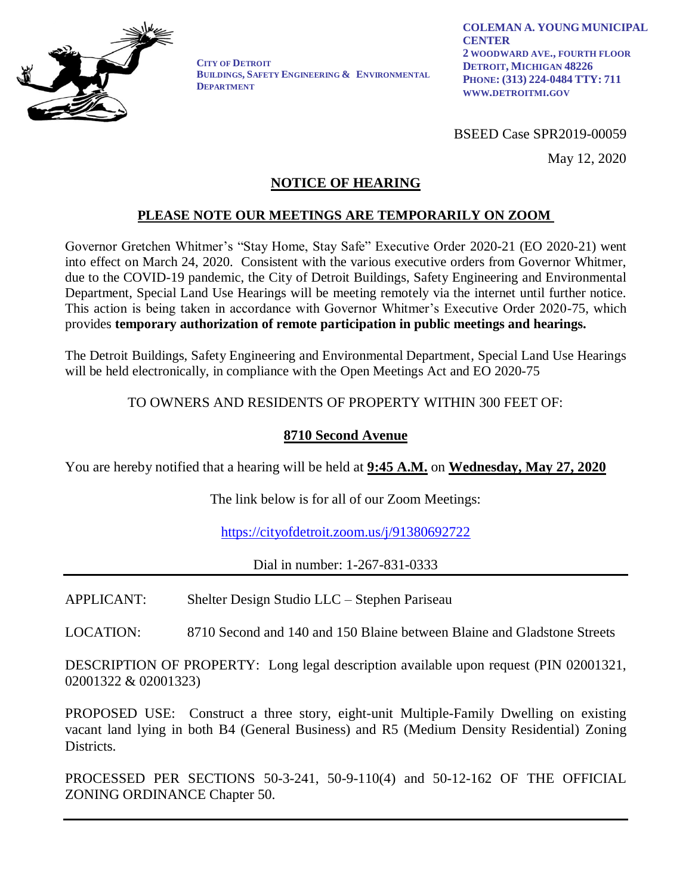

**CITY OF DETROIT BUILDINGS, SAFETY ENGINEERING & ENVIRONMENTAL DEPARTMENT** 

BSEED Case SPR2019-00059

May 12, 2020

## **NOTICE OF HEARING**

# **PLEASE NOTE OUR MEETINGS ARE TEMPORARILY ON ZOOM**

Governor Gretchen Whitmer's "Stay Home, Stay Safe" Executive Order 2020-21 (EO 2020-21) went into effect on March 24, 2020. Consistent with the various executive orders from Governor Whitmer, due to the COVID-19 pandemic, the City of Detroit Buildings, Safety Engineering and Environmental Department, Special Land Use Hearings will be meeting remotely via the internet until further notice. This action is being taken in accordance with Governor Whitmer's Executive Order 2020-75, which provides **temporary authorization of remote participation in public meetings and hearings.**

The Detroit Buildings, Safety Engineering and Environmental Department, Special Land Use Hearings will be held electronically, in compliance with the Open Meetings Act and EO 2020-75

### TO OWNERS AND RESIDENTS OF PROPERTY WITHIN 300 FEET OF:

## **8710 Second Avenue**

You are hereby notified that a hearing will be held at **9:45 A.M.** on **Wednesday, May 27, 2020**

The link below is for all of our Zoom Meetings:

<https://cityofdetroit.zoom.us/j/91380692722>

Dial in number: 1-267-831-0333

APPLICANT: Shelter Design Studio LLC – Stephen Pariseau

LOCATION: 8710 Second and 140 and 150 Blaine between Blaine and Gladstone Streets

DESCRIPTION OF PROPERTY: Long legal description available upon request (PIN 02001321, 02001322 & 02001323)

PROPOSED USE: Construct a three story, eight-unit Multiple-Family Dwelling on existing vacant land lying in both B4 (General Business) and R5 (Medium Density Residential) Zoning Districts.

PROCESSED PER SECTIONS 50-3-241, 50-9-110(4) and 50-12-162 OF THE OFFICIAL ZONING ORDINANCE Chapter 50.